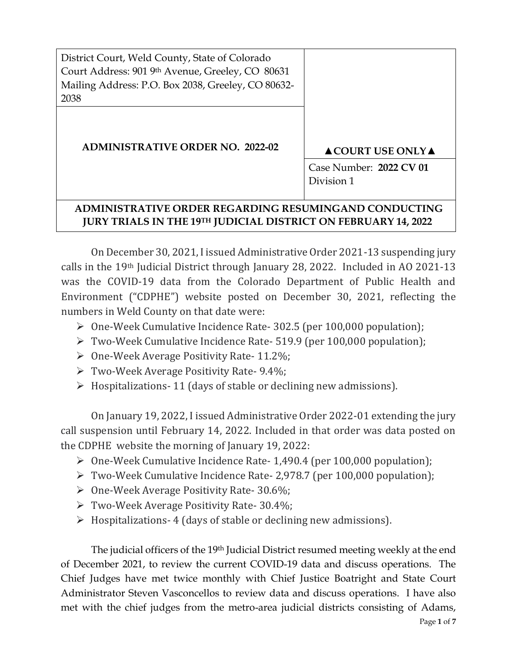District Court, Weld County, State of Colorado Court Address: 901 9th Avenue, Greeley, CO 80631 Mailing Address: P.O. Box 2038, Greeley, CO 80632- 2038

**ADMINISTRATIVE ORDER NO. 2022-02 ▲COURT USE ONLY▲**

Case Number: **2022 CV 01**  Division 1

# **ADMINISTRATIVE ORDER REGARDING RESUMINGAND CONDUCTING JURY TRIALS IN THE 19TH JUDICIAL DISTRICT ON FEBRUARY 14, 2022**

On December 30, 2021, I issued Administrative Order 2021-13 suspending jury calls in the 19th Judicial District through January 28, 2022. Included in AO 2021-13 was the COVID-19 data from the Colorado Department of Public Health and Environment ("CDPHE") website posted on December 30, 2021, reflecting the numbers in Weld County on that date were:

- ➢ One-Week Cumulative Incidence Rate- 302.5 (per 100,000 population);
- ➢ Two-Week Cumulative Incidence Rate- 519.9 (per 100,000 population);
- $\triangleright$  One-Week Average Positivity Rate- 11.2%;
- ➢ Two-Week Average Positivity Rate- 9.4%;
- $\triangleright$  Hospitalizations- 11 (days of stable or declining new admissions).

On January 19, 2022, I issued Administrative Order 2022-01 extending the jury call suspension until February 14, 2022. Included in that order was data posted on the CDPHE website the morning of January 19, 2022:

- ➢ One-Week Cumulative Incidence Rate- 1,490.4 (per 100,000 population);
- ➢ Two-Week Cumulative Incidence Rate- 2,978.7 (per 100,000 population);
- ➢ One-Week Average Positivity Rate- 30.6%;
- ➢ Two-Week Average Positivity Rate- 30.4%;
- $\triangleright$  Hospitalizations-4 (days of stable or declining new admissions).

The judicial officers of the 19th Judicial District resumed meeting weekly at the end of December 2021, to review the current COVID-19 data and discuss operations. The Chief Judges have met twice monthly with Chief Justice Boatright and State Court Administrator Steven Vasconcellos to review data and discuss operations. I have also met with the chief judges from the metro-area judicial districts consisting of Adams,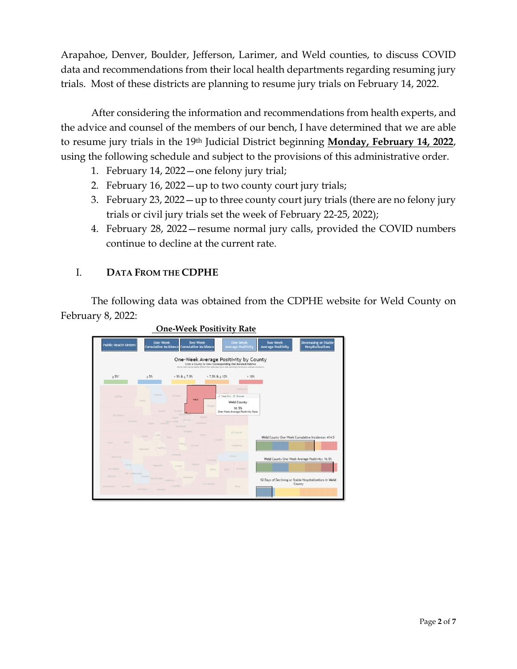Arapahoe, Denver, Boulder, Jefferson, Larimer, and Weld counties, to discuss COVID data and recommendations from their local health departments regarding resuming jury trials. Most of these districts are planning to resume jury trials on February 14, 2022.

After considering the information and recommendations from health experts, and the advice and counsel of the members of our bench, I have determined that we are able to resume jury trials in the 19th Judicial District beginning **Monday, February 14, 2022**, using the following schedule and subject to the provisions of this administrative order.

- 1. February 14, 2022—one felony jury trial;
- 2. February 16, 2022—up to two county court jury trials;
- 3. February 23, 2022—up to three county court jury trials (there are no felony jury trials or civil jury trials set the week of February 22-25, 2022);
- 4. February 28, 2022—resume normal jury calls, provided the COVID numbers continue to decline at the current rate.

# I. **DATA FROM THE CDPHE**

The following data was obtained from the CDPHE website for Weld County on February 8, 2022:



## **One-Week Positivity Rate**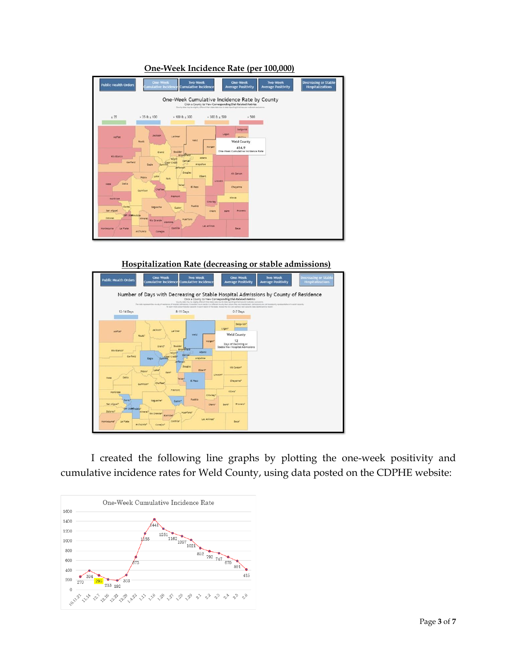

### **One-Week Incidence Rate (per 100,000)**

**Hospitalization Rate (decreasing or stable admissions)**



I created the following line graphs by plotting the one-week positivity and cumulative incidence rates for Weld County, using data posted on the CDPHE website:

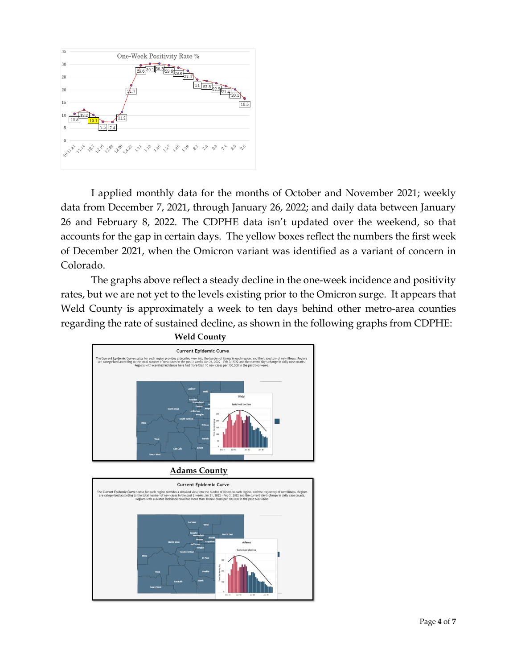

I applied monthly data for the months of October and November 2021; weekly data from December 7, 2021, through January 26, 2022; and daily data between January 26 and February 8, 2022. The CDPHE data isn't updated over the weekend, so that accounts for the gap in certain days. The yellow boxes reflect the numbers the first week of December 2021, when the Omicron variant was identified as a variant of concern in Colorado.

The graphs above reflect a steady decline in the one-week incidence and positivity rates, but we are not yet to the levels existing prior to the Omicron surge. It appears that Weld County is approximately a week to ten days behind other metro-area counties regarding the rate of sustained decline, as shown in the following graphs from CDPHE:



**Adams County**

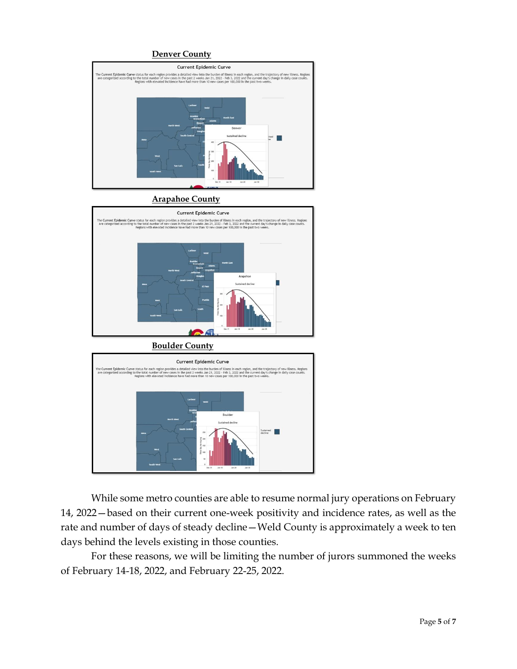### **Denver County**



**Arapahoe County**



**Boulder County**



While some metro counties are able to resume normal jury operations on February 14, 2022—based on their current one-week positivity and incidence rates, as well as the rate and number of days of steady decline—Weld County is approximately a week to ten days behind the levels existing in those counties.

For these reasons, we will be limiting the number of jurors summoned the weeks of February 14-18, 2022, and February 22-25, 2022.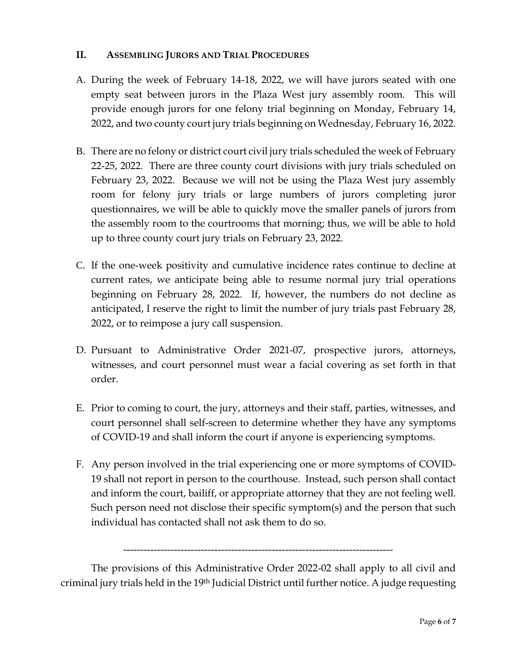## **II. ASSEMBLING JURORS AND TRIAL PROCEDURES**

- A. During the week of February 14-18, 2022, we will have jurors seated with one empty seat between jurors in the Plaza West jury assembly room. This will provide enough jurors for one felony trial beginning on Monday, February 14, 2022, and two county court jury trials beginning on Wednesday, February 16, 2022.
- B. There are no felony or district court civil jury trials scheduled the week of February 22-25, 2022. There are three county court divisions with jury trials scheduled on February 23, 2022. Because we will not be using the Plaza West jury assembly room for felony jury trials or large numbers of jurors completing juror questionnaires, we will be able to quickly move the smaller panels of jurors from the assembly room to the courtrooms that morning; thus, we will be able to hold up to three county court jury trials on February 23, 2022.
- C. If the one-week positivity and cumulative incidence rates continue to decline at current rates, we anticipate being able to resume normal jury trial operations beginning on February 28, 2022. If, however, the numbers do not decline as anticipated, I reserve the right to limit the number of jury trials past February 28, 2022, or to reimpose a jury call suspension.
- D. Pursuant to Administrative Order 2021-07, prospective jurors, attorneys, witnesses, and court personnel must wear a facial covering as set forth in that order.
- E. Prior to coming to court, the jury, attorneys and their staff, parties, witnesses, and court personnel shall self-screen to determine whether they have any symptoms of COVID-19 and shall inform the court if anyone is experiencing symptoms.
- F. Any person involved in the trial experiencing one or more symptoms of COVID-19 shall not report in person to the courthouse. Instead, such person shall contact and inform the court, bailiff, or appropriate attorney that they are not feeling well. Such person need not disclose their specific symptom(s) and the person that such individual has contacted shall not ask them to do so.

--------------------------------------------------------------------------------

The provisions of this Administrative Order 2022-02 shall apply to all civil and criminal jury trials held in the 19th Judicial District until further notice. A judge requesting